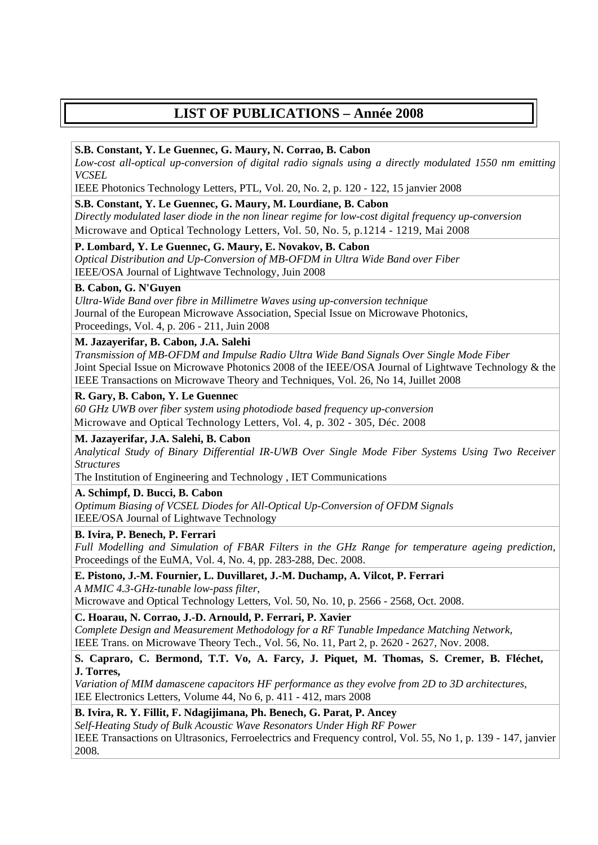# **LIST OF PUBLICATIONS – Année 2008**

# **S.B. Constant, Y. Le Guennec, G. Maury, N. Corrao, B. Cabon**

*Low-cost all-optical up-conversion of digital radio signals using a directly modulated 1550 nm emitting VCSEL* 

IEEE Photonics Technology Letters, PTL, Vol. 20, No. 2, p. 120 - 122, 15 janvier 2008

# **S.B. Constant, Y. Le Guennec, G. Maury, M. Lourdiane, B. Cabon**

*Directly modulated laser diode in the non linear regime for low-cost digital frequency up-conversion*  Microwave and Optical Technology Letters, Vol. 50, No. 5, p.1214 - 1219, Mai 2008

# **P. Lombard, Y. Le Guennec, G. Maury, E. Novakov, B. Cabon**

*Optical Distribution and Up-Conversion of MB-OFDM in Ultra Wide Band over Fiber*  IEEE/OSA Journal of Lightwave Technology, Juin 2008

# **B. Cabon, G. N'Guyen**

*Ultra-Wide Band over fibre in Millimetre Waves using up-conversion technique*  Journal of the European Microwave Association, Special Issue on Microwave Photonics, Proceedings, Vol. 4, p. 206 - 211, Juin 2008

# **M. Jazayerifar, B. Cabon, J.A. Salehi**

*Transmission of MB-OFDM and Impulse Radio Ultra Wide Band Signals Over Single Mode Fiber*  Joint Special Issue on Microwave Photonics 2008 of the IEEE/OSA Journal of Lightwave Technology & the IEEE Transactions on Microwave Theory and Techniques, Vol. 26, No 14, Juillet 2008

# **R. Gary, B. Cabon, Y. Le Guennec**

*60 GHz UWB over fiber system using photodiode based frequency up-conversion*  Microwave and Optical Technology Letters, Vol. 4, p. 302 - 305, Déc. 2008

# **M. Jazayerifar, J.A. Salehi, B. Cabon**

*Analytical Study of Binary Differential IR-UWB Over Single Mode Fiber Systems Using Two Receiver Structures* 

The Institution of Engineering and Technology , IET Communications

# **A. Schimpf, D. Bucci, B. Cabon**

*Optimum Biasing of VCSEL Diodes for All-Optical Up-Conversion of OFDM Signals*  IEEE/OSA Journal of Lightwave Technology

# **B. Ivira, P. Benech, P. Ferrari**

*Full Modelling and Simulation of FBAR Filters in the GHz Range for temperature ageing prediction,* Proceedings of the EuMA, Vol. 4, No. 4, pp. 283-288, Dec. 2008.

**E. Pistono, J.-M. Fournier, L. Duvillaret, J.-M. Duchamp, A. Vilcot, P. Ferrari**  *A MMIC 4.3-GHz-tunable low-pass filter*,

Microwave and Optical Technology Letters, Vol. 50, No. 10, p. 2566 - 2568, Oct. 2008.

# **C. Hoarau, N. Corrao, J.-D. Arnould, P. Ferrari, P. Xavier**

*Complete Design and Measurement Methodology for a RF Tunable Impedance Matching Network,*  IEEE Trans. on Microwave Theory Tech., Vol. 56, No. 11, Part 2, p. 2620 - 2627, Nov. 2008.

## **S. Capraro, C. Bermond, T.T. Vo, A. Farcy, J. Piquet, M. Thomas, S. Cremer, B. Fléchet, J. Torres,**

*Variation of MIM damascene capacitors HF performance as they evolve from 2D to 3D architectures*, IEE Electronics Letters, Volume 44, No 6, p. 411 - 412, mars 2008

# **B. Ivira, R. Y. Fillit, F. Ndagijimana, Ph. Benech, G. Parat, P. Ancey**

*Self-Heating Study of Bulk Acoustic Wave Resonators Under High RF Power*  IEEE Transactions on Ultrasonics, Ferroelectrics and Frequency control, Vol. 55, No 1, p. 139 - 147, janvier 2008.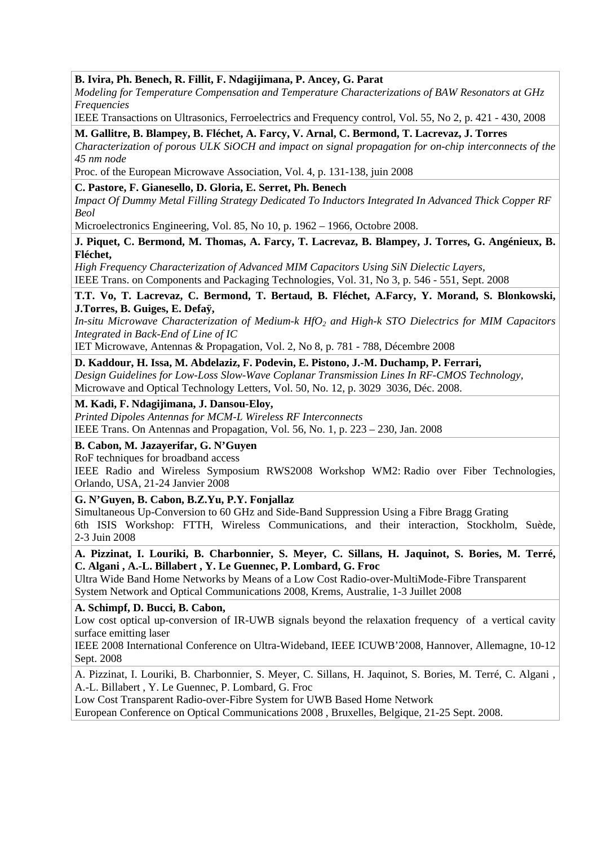## **B. Ivira, Ph. Benech, R. Fillit, F. Ndagijimana, P. Ancey, G. Parat**

*Modeling for Temperature Compensation and Temperature Characterizations of BAW Resonators at GHz Frequencies* 

IEEE Transactions on Ultrasonics, Ferroelectrics and Frequency control, Vol. 55, No 2, p. 421 - 430, 2008

**M. Gallitre, B. Blampey, B. Fléchet, A. Farcy, V. Arnal, C. Bermond, T. Lacrevaz, J. Torres** 

*Characterization of porous ULK SiOCH and impact on signal propagation for on-chip interconnects of the 45 nm node* 

Proc. of the European Microwave Association, Vol. 4, p. 131-138, juin 2008

## **C. Pastore, F. Gianesello, D. Gloria, E. Serret, Ph. Benech**

*Impact Of Dummy Metal Filling Strategy Dedicated To Inductors Integrated In Advanced Thick Copper RF Beol* 

Microelectronics Engineering, Vol. 85, No 10, p. 1962 – 1966, Octobre 2008.

**J. Piquet, C. Bermond, M. Thomas, A. Farcy, T. Lacrevaz, B. Blampey, J. Torres, G. Angénieux, B. Fléchet,** 

*High Frequency Characterization of Advanced MIM Capacitors Using SiN Dielectic Layers,*

IEEE Trans. on Components and Packaging Technologies, Vol. 31, No 3, p. 546 - 551, Sept. 2008

**T.T. Vo, T. Lacrevaz, C. Bermond, T. Bertaud, B. Fléchet, A.Farcy, Y. Morand, S. Blonkowski, J.Torres, B. Guiges, E. Defaÿ,** 

*In-situ Microwave Characterization of Medium-k HfO2 and High-k STO Dielectrics for MIM Capacitors Integrated in Back-End of Line of IC* 

IET Microwave, Antennas & Propagation, Vol. 2, No 8, p. 781 - 788, Décembre 2008

#### **D. Kaddour, H. Issa, M. Abdelaziz, F. Podevin, E. Pistono, J.-M. Duchamp, P. Ferrari,**

*Design Guidelines for Low-Loss Slow-Wave Coplanar Transmission Lines In RF-CMOS Technology,*  Microwave and Optical Technology Letters, Vol. 50, No. 12, p. 3029 3036, Déc. 2008.

## **M. [Kadi, F.](http://74.125.43.113/translate_c?hl=fr&sl=en&u=http://ieeexplore.ieee.org/search/searchresult.jsp%3Fdisp%3Dcit%26queryText%3D%28kadi%2520%2520m.%253CIN%253Eau%29%26valnm%3DKadi%252C%2BM.%26reqloc%2520%3Dothers%26history%3Dyes&prev=/search%3Fq%3DIEEE%2Bdansou%2B2008%26hl%3Dfr%26client%3Dfirefox-a%26channel%3Ds%26rls%3Dorg.mozilla:fr:official%26hs%3DT7Q%26sa%3DG&usg=ALkJrhjcPksv4s7uEx1CUmRaIv04UTY54Q) [Ndagijimana, J.](http://74.125.43.113/translate_c?hl=fr&sl=en&u=http://ieeexplore.ieee.org/search/searchresult.jsp%3Fdisp%3Dcit%26queryText%3D%28%2520ndagijimana%2520%2520f.%253CIN%253Eau%29%26valnm%3D%2BNdagijimana%252C%2BF.%26reqloc%2520%3Dothers%26history%3Dyes&prev=/search%3Fq%3DIEEE%2Bdansou%2B2008%26hl%3Dfr%26client%3Dfirefox-a%26channel%3Ds%26rls%3Dorg.mozilla:fr:official%26hs%3DT7Q%26sa%3DG&usg=ALkJrhjd1wP-uVNfoURpSgqY7CVoUUOrBA) [Dansou-Eloy,](http://74.125.43.113/translate_c?hl=fr&sl=en&u=http://ieeexplore.ieee.org/search/searchresult.jsp%3Fdisp%3Dcit%26queryText%3D%28%2520dansou%2520eloy%2520%2520j.%253CIN%253Eau%29%26valnm%3D%2BDansou-Eloy%252C%2BJ.%26reqloc%2520%3Dothers%26history%3Dyes&prev=/search%3Fq%3DIEEE%2Bdansou%2B2008%26hl%3Dfr%26client%3Dfirefox-a%26channel%3Ds%26rls%3Dorg.mozilla:fr:official%26hs%3DT7Q%26sa%3DG&usg=ALkJrhjqlXullSx5UnICDljbte3GVefXrA)**

*Printed Dipoles Antennas for MCM-L Wireless RF Interconnects* 

IEEE Trans. On Antennas and Propagation, Vol. 56, No. 1, p. 223 – 230, Jan. 2008

#### **B. Cabon, M. Jazayerifar, G. N'Guyen**

RoF techniques for broadband access

IEEE Radio and Wireless Symposium RWS2008 Workshop WM2: Radio over Fiber Technologies, Orlando, USA, 21-24 Janvier 2008

#### **G. N'Guyen, B. Cabon, B.Z.Yu, P.Y. Fonjallaz**

Simultaneous Up-Conversion to 60 GHz and Side-Band Suppression Using a Fibre Bragg Grating 6th ISIS Workshop: FTTH, Wireless Communications, and their interaction, Stockholm, Suède, 2-3 Juin 2008

#### **A. Pizzinat, I. Louriki, B. Charbonnier, S. Meyer, C. Sillans, H. Jaquinot, S. Bories, M. Terré, C. Algani , A.-L. Billabert , Y. Le Guennec, P. Lombard, G. Froc**

Ultra Wide Band Home Networks by Means of a Low Cost Radio-over-MultiMode-Fibre Transparent System Network and Optical Communications 2008*,* Krems, Australie, 1-3 Juillet 2008

#### **A. Schimpf, D. Bucci, B. Cabon,**

Low cost optical up-conversion of IR-UWB signals beyond the relaxation frequency of a vertical cavity surface emitting laser

IEEE 2008 International Conference on Ultra-Wideband, IEEE ICUWB'2008, Hannover, Allemagne, 10-12 Sept. 2008

A. Pizzinat, I. Louriki, B. Charbonnier, S. Meyer, C. Sillans, H. Jaquinot, S. Bories, M. Terré, C. Algani , A.-L. Billabert , Y. Le Guennec, P. Lombard, G. Froc

Low Cost Transparent Radio-over-Fibre System for UWB Based Home Network

European Conference on Optical Communications 2008 , Bruxelles, Belgique, 21-25 Sept. 2008.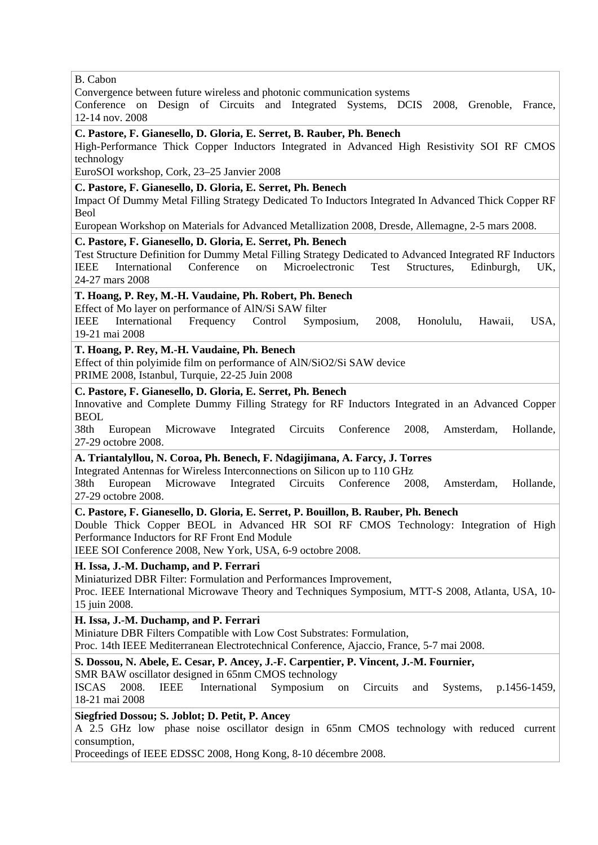B. Cabon

Convergence between future wireless and photonic communication systems

Conference on Design of Circuits and Integrated Systems, DCIS 2008, Grenoble, France, 12-14 nov. 2008

**C. Pastore, F. Gianesello, D. Gloria, E. Serret, B. Rauber, Ph. Benech** 

High-Performance Thick Copper Inductors Integrated in Advanced High Resistivity SOI RF CMOS technology

EuroSOI workshop, Cork, 23–25 Janvier 2008

## **C. Pastore, F. Gianesello, D. Gloria, E. Serret, Ph. Benech**

Impact Of Dummy Metal Filling Strategy Dedicated To Inductors Integrated In Advanced Thick Copper RF Beol

European Workshop on Materials for Advanced Metallization 2008, Dresde, Allemagne, 2-5 mars 2008.

#### **C. Pastore, F. Gianesello, D. Gloria, E. Serret, Ph. Benech**

Test Structure Definition for Dummy Metal Filling Strategy Dedicated to Advanced Integrated RF Inductors IEEE International Conference on Microelectronic Test Structures, Edinburgh, UK, 24-27 mars 2008

#### **T. Hoang, P. Rey, M.-H. Vaudaine, Ph. Robert, Ph. Benech**

Effect of Mo layer on performance of AlN/Si SAW filter

IEEE International Frequency Control Symposium, 2008, Honolulu, Hawaii, USA, 19-21 mai 2008

#### **T. Hoang, P. Rey, M.-H. Vaudaine, Ph. Benech**

Effect of thin polyimide film on performance of AlN/SiO2/Si SAW device

PRIME 2008, Istanbul, Turquie, 22-25 Juin 2008

# **C. Pastore, F. Gianesello, D. Gloria, E. Serret, Ph. Benech**

Innovative and Complete Dummy Filling Strategy for RF Inductors Integrated in an Advanced Copper BEOL

38th European Microwave Integrated Circuits Conference 2008, Amsterdam, Hollande, 27-29 octobre 2008.

# **A. Triantalyllou, N. Coroa, Ph. Benech, F. Ndagijimana, A. Farcy, J. Torres**

Integrated Antennas for Wireless Interconnections on Silicon up to 110 GHz

38th European Microwave Integrated Circuits Conference 2008, Amsterdam, Hollande, 27-29 octobre 2008.

## **C. Pastore, F. Gianesello, D. Gloria, E. Serret, P. Bouillon, B. Rauber, Ph. Benech**

Double Thick Copper BEOL in Advanced HR SOI RF CMOS Technology: Integration of High Performance Inductors for RF Front End Module

IEEE SOI Conference 2008, New York, USA, 6-9 octobre 2008.

## **H. Issa, J.-M. Duchamp, and P. Ferrari**

Miniaturized DBR Filter: Formulation and Performances Improvement,

Proc. IEEE International Microwave Theory and Techniques Symposium, MTT-S 2008, Atlanta, USA, 10- 15 juin 2008.

## **H. Issa, J.-M. Duchamp, and P. Ferrari**

Miniature DBR Filters Compatible with Low Cost Substrates: Formulation,

Proc. 14th IEEE Mediterranean Electrotechnical Conference, Ajaccio, France, 5-7 mai 2008.

#### **S. Dossou, N. Abele, E. Cesar, P. Ancey, J.-F. Carpentier, P. Vincent, J.-M. Fournier,**

SMR BAW oscillator designed in 65nm CMOS technology

ISCAS 2008. IEEE International Symposium on Circuits and Systems, p.1456-1459, 18-21 mai 2008

#### **Siegfried Dossou; S. Joblot; D. Petit, P. Ancey**

A 2.5 GHz low phase noise oscillator design in 65nm CMOS technology with reduced current consumption,

Proceedings of IEEE EDSSC 2008, Hong Kong, 8-10 décembre 2008.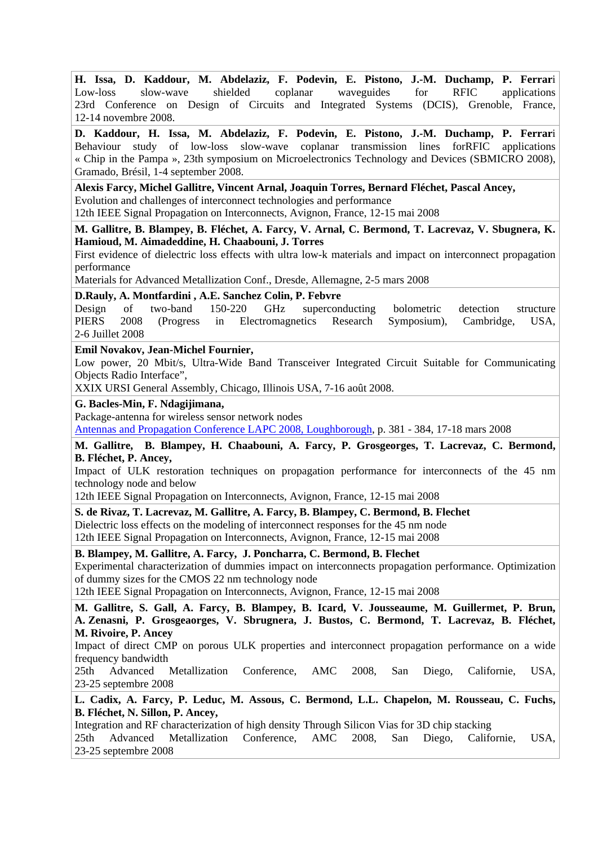**H. Issa, D. Kaddour, M. Abdelaziz, F. Podevin, E. Pistono, J.-M. Duchamp, P. Ferrar**i Low-loss slow-wave shielded coplanar waveguides for RFIC applications 23rd Conference on Design of Circuits and Integrated Systems (DCIS), Grenoble, France, 12-14 novembre 2008.

**D. Kaddour, H. Issa, M. Abdelaziz, F. Podevin, E. Pistono, J.-M. Duchamp, P. Ferrar**i Behaviour study of low-loss slow-wave coplanar transmission lines forRFIC applications « Chip in the Pampa », 23th symposium on Microelectronics Technology and Devices (SBMICRO 2008), Gramado, Brésil, 1-4 september 2008.

**Alexis Farcy, Michel Gallitre, Vincent Arnal, Joaquin Torres, Bernard Fléchet, Pascal Ancey,**  Evolution and challenges of interconnect technologies and performance

12th IEEE Signal Propagation on Interconnects, Avignon, France, 12-15 mai 2008

**M. Gallitre, B. Blampey, B. Fléchet, A. Farcy, V. Arnal, C. Bermond, T. Lacrevaz, V. Sbugnera, K. Hamioud, M. Aimadeddine, H. Chaabouni, J. Torres** 

First evidence of dielectric loss effects with ultra low-k materials and impact on interconnect propagation performance

Materials for Advanced Metallization Conf., Dresde, Allemagne, 2-5 mars 2008

**D.Rauly, A. Montfardini , A.E. Sanchez Colin, P. Febvre** 

Design of two-band 150-220 GHz superconducting bolometric detection structure PIERS 2008 (Progress in Electromagnetics Research Symposium), Cambridge, USA, 2-6 Juillet 2008

**Emil Novakov, Jean-Michel Fournier,** 

Low power, 20 Mbit/s, Ultra-Wide Band Transceiver Integrated Circuit Suitable for Communicating Objects Radio Interface",

XXIX URSI General Assembly, Chicago, Illinois USA, 7-16 août 2008.

**G. Bacles-Min, F. Ndagijimana,** 

Package-antenna for wireless sensor network nodes

[Antennas and Propagation Conference LAPC 2008, Loughborough,](http://ieeexplore.ieee.org/xpl/RecentCon.jsp?punumber=4509975) p. 381 - 384, 17-18 mars 2008

**M. Gallitre, B. Blampey, H. Chaabouni, A. Farcy, P. Grosgeorges, T. Lacrevaz, C. Bermond, B. Fléchet, P. Ancey,** 

Impact of ULK restoration techniques on propagation performance for interconnects of the 45 nm technology node and below

12th IEEE Signal Propagation on Interconnects, Avignon, France, 12-15 mai 2008

**S. de Rivaz, T. Lacrevaz, M. Gallitre, A. Farcy, B. Blampey, C. Bermond, B. Flechet** 

Dielectric loss effects on the modeling of interconnect responses for the 45 nm node 12th IEEE Signal Propagation on Interconnects, Avignon, France, 12-15 mai 2008

**B. Blampey, M. Gallitre, A. Farcy, J. Poncharra, C. Bermond, B. Flechet**  Experimental characterization of dummies impact on interconnects propagation performance. Optimization of dummy sizes for the CMOS 22 nm technology node

12th IEEE Signal Propagation on Interconnects, Avignon, France, 12-15 mai 2008

**M. Gallitre, S. Gall, A. Farcy, B. Blampey, B. Icard, V. Jousseaume, M. Guillermet, P. Brun, A. Zenasni, P. Grosgeaorges, V. Sbrugnera, J. Bustos, C. Bermond, T. Lacrevaz, B. Fléchet, M. Rivoire, P. Ancey** 

Impact of direct CMP on porous ULK properties and interconnect propagation performance on a wide frequency bandwidth

25th Advanced Metallization Conference, AMC 2008, San Diego, Californie, USA, 23-25 septembre 2008

**L. Cadix, A. Farcy, P. Leduc, M. Assous, C. Bermond, L.L. Chapelon, M. Rousseau, C. Fuchs, B. Fléchet, N. Sillon, P. Ancey,** 

Integration and RF characterization of high density Through Silicon Vias for 3D chip stacking 25th Advanced Metallization Conference, AMC 2008, San Diego, Californie, USA, 23-25 septembre 2008